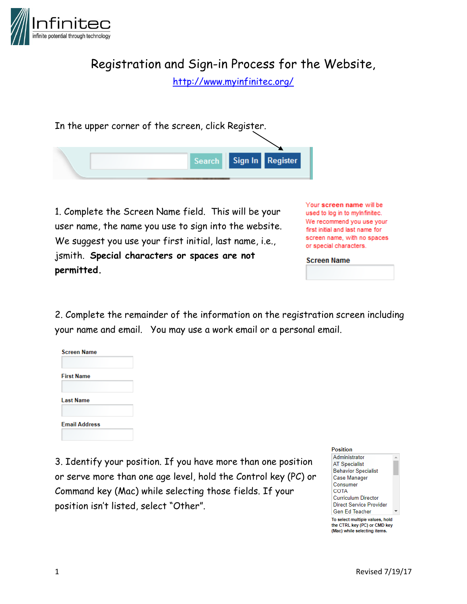

Registration and Sign-in Process for the Website,

<http://www.myinfinitec.org/>

In the upper corner of the screen, click Register.



1. Complete the Screen Name field. This will be your user name, the name you use to sign into the website. We suggest you use your first initial, last name, i.e., jsmith. **Special characters or spaces are not permitted.** 

Your screen name will be used to log in to myInfinitec. We recommend you use your first initial and last name for screen name, with no spaces or special characters.

**Screen Name** 

2. Complete the remainder of the information on the registration screen including your name and email. You may use a work email or a personal email.



3. Identify your position. If you have more than one position or serve more than one age level, hold the Control key (PC) or Command key (Mac) while selecting those fields. If your position isn't listed, select "Other".

### **Position**

Administrator **AT Specialist Behavior Specialist Case Manager** Consumer COTA **Curriculum Director Direct Service Provider Gen Ed Teacher** 

To select multiple values, hold the CTRL key (PC) or CMD key (Mac) while selecting items.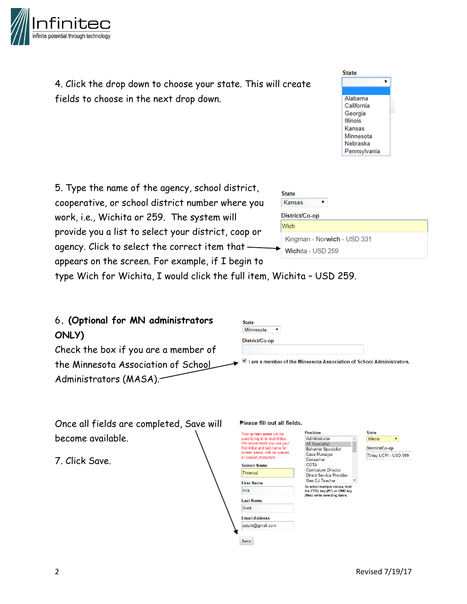

4. Click the drop down to choose your state. This will create fields to choose in the next drop down.



5. Type the name of the agency, school district, cooperative, or school district number where you work, i.e., Wichita or 259. The system will provide you a list to select your district, coop or agency. Click to select the correct item that appears on the screen. For example, if I begin to

| <b>State</b>                |  |  |
|-----------------------------|--|--|
| Kansas                      |  |  |
| District/Co-op              |  |  |
| Wich                        |  |  |
| Kingman - Norwich - USD 331 |  |  |
| Wichita - USD 259           |  |  |

type Wich for Wichita, I would click the full item, Wichita – USD 259.

| 6. (Optional for MN administrators   | <b>State</b>                                                         |
|--------------------------------------|----------------------------------------------------------------------|
| ONLY)                                | Minnesota<br>District/Co-op                                          |
| Check the box if you are a member of |                                                                      |
| the Minnesota Association of School  | I am a member of the Minnesota Association of School Administrators. |
| Administrators (MASA).               |                                                                      |
|                                      |                                                                      |

| Once all fields are completed, Save will | Please fill out all fields.                                                                                                                                                                                                       |                                                                                                 |
|------------------------------------------|-----------------------------------------------------------------------------------------------------------------------------------------------------------------------------------------------------------------------------------|-------------------------------------------------------------------------------------------------|
| become available.                        | Your screen name will be<br>used to log in to myInfinitec.<br>We recommend you use your<br>first initial and last name for                                                                                                        | <b>Position</b><br>Administrator<br><b>AT Specialist</b><br><b>Behavior Specialist</b>          |
| 7. Click Save.                           | screen name, with no spaces<br><b>Case Manager</b><br>or special characters.<br>Consumer<br><b>COTA</b><br><b>Screen Name</b><br><b>Curriculum Director</b><br><b>Thrones</b><br>Direct Service Provider<br><b>Gen Ed Teacher</b> |                                                                                                 |
|                                          | <b>First Name</b><br>Aria<br><b>Last Name</b><br><b>Stark</b>                                                                                                                                                                     | To select multiple values, hold<br>the CTRL key (PC) or CMD key<br>(Mac) while selecting items. |
|                                          | <b>Email Address</b><br>astark@gmail.com<br>Save                                                                                                                                                                                  |                                                                                                 |

**State** Illinois

District/Co.on Tinley UCPI - USD 999

 $\bar{\mathbf{v}}$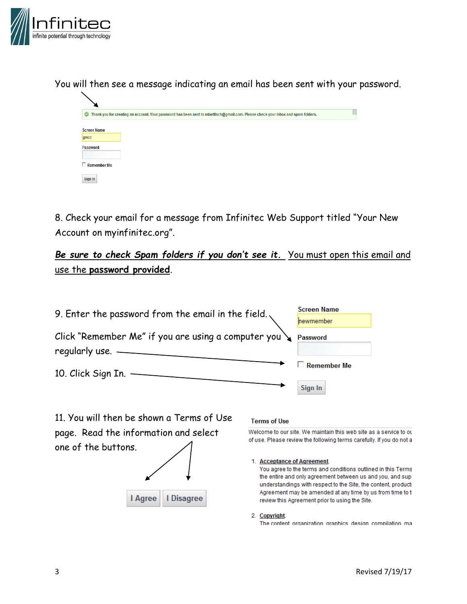

You will then see a message indicating an email has been sent with your password.



8. Check your email for a message from Infinitec Web Support titled "Your New Account on myinfinitec.org".

Be sure to check Spam folders if you don't see it. You must open this email and use the **password provided**.

| 9. Enter the password from the email in the field. $\backslash$                  | <b>Screen Name</b><br>hewmember |
|----------------------------------------------------------------------------------|---------------------------------|
| Click "Remember Me" if you are using a computer you $\sum$<br>regularly use. $-$ | Password                        |
| 10. Click Sign In. $-$                                                           | $\Box$ Remember Me              |
|                                                                                  | Sign In                         |

11. You will then be shown a Terms of Use page. Read the information and select one of the buttons.



## **Terms of Use**

Welcome to our site. We maintain this web site as a service to ou of use. Please review the following terms carefully. If you do not a

### 1. Acceptance of Agreement.

You agree to the terms and conditions outlined in this Terms the entire and only agreement between us and you, and sup understandings with respect to the Site, the content, product: Agreement may be amended at any time by us from time to t review this Agreement prior to using the Site.

### 2. Copyright.

The content organization graphics design compilation ma-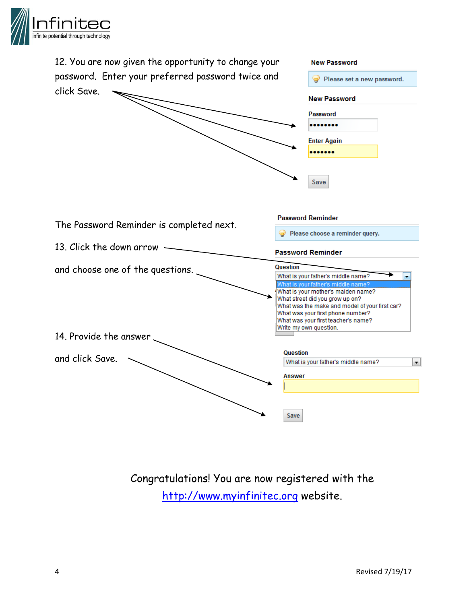



Congratulations! You are now registered with the [http://www.myinfinitec.org](http://www.myinfinitec.org/) website.